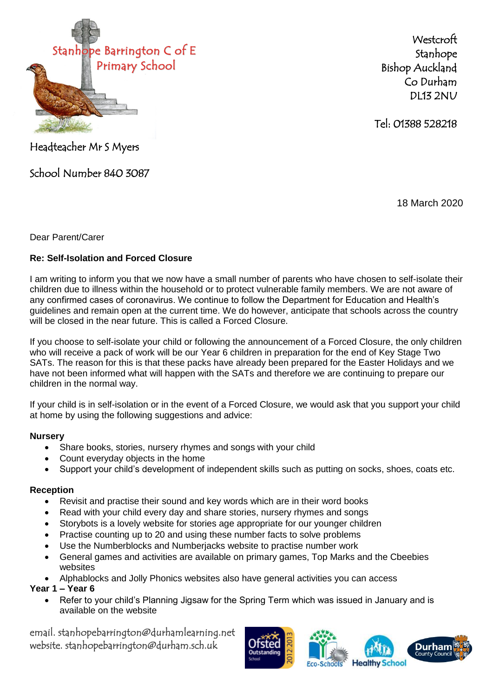

**Westcroft** Stanhope Bishop Auckland Co Durham DL13 2NU

Tel: 01388 528218

Headteacher Mr S Myers

School Number 840 3087

18 March 2020

Dear Parent/Carer

# **Re: Self-Isolation and Forced Closure**

I am writing to inform you that we now have a small number of parents who have chosen to self-isolate their children due to illness within the household or to protect vulnerable family members. We are not aware of any confirmed cases of coronavirus. We continue to follow the Department for Education and Health's guidelines and remain open at the current time. We do however, anticipate that schools across the country will be closed in the near future. This is called a Forced Closure.

If you choose to self-isolate your child or following the announcement of a Forced Closure, the only children who will receive a pack of work will be our Year 6 children in preparation for the end of Key Stage Two SATs. The reason for this is that these packs have already been prepared for the Easter Holidays and we have not been informed what will happen with the SATs and therefore we are continuing to prepare our children in the normal way.

If your child is in self-isolation or in the event of a Forced Closure, we would ask that you support your child at home by using the following suggestions and advice:

## **Nursery**

- Share books, stories, nursery rhymes and songs with your child
- Count everyday objects in the home
- Support your child's development of independent skills such as putting on socks, shoes, coats etc.

## **Reception**

- Revisit and practise their sound and key words which are in their word books
- Read with your child every day and share stories, nursery rhymes and songs
- Storybots is a lovely website for stories age appropriate for our younger children
- Practise counting up to 20 and using these number facts to solve problems
- Use the Numberblocks and Numberjacks website to practise number work
- General games and activities are available on primary games, Top Marks and the Cbeebies websites
- Alphablocks and Jolly Phonics websites also have general activities you can access

## **Year 1 – Year 6**

 Refer to your child's Planning Jigsaw for the Spring Term which was issued in January and is available on the website

email. stanhopebarrington@durhamlearning.net website. stanhopebarrington@durham.sch.uk



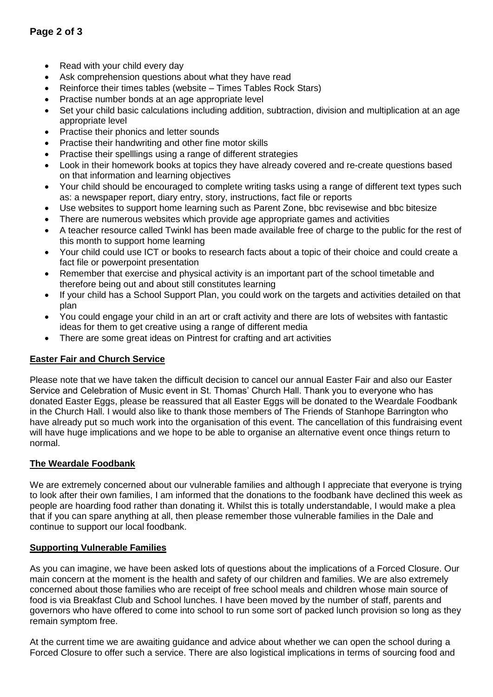- Read with your child every day
- Ask comprehension questions about what they have read
- Reinforce their times tables (website Times Tables Rock Stars)
- Practise number bonds at an age appropriate level
- Set your child basic calculations including addition, subtraction, division and multiplication at an age appropriate level
- Practise their phonics and letter sounds
- Practise their handwriting and other fine motor skills
- Practise their spelllings using a range of different strategies
- Look in their homework books at topics they have already covered and re-create questions based on that information and learning objectives
- Your child should be encouraged to complete writing tasks using a range of different text types such as: a newspaper report, diary entry, story, instructions, fact file or reports
- Use websites to support home learning such as Parent Zone, bbc revisewise and bbc bitesize
- There are numerous websites which provide age appropriate games and activities
- A teacher resource called Twinkl has been made available free of charge to the public for the rest of this month to support home learning
- Your child could use ICT or books to research facts about a topic of their choice and could create a fact file or powerpoint presentation
- Remember that exercise and physical activity is an important part of the school timetable and therefore being out and about still constitutes learning
- If your child has a School Support Plan, you could work on the targets and activities detailed on that plan
- You could engage your child in an art or craft activity and there are lots of websites with fantastic ideas for them to get creative using a range of different media
- There are some great ideas on Pintrest for crafting and art activities

### **Easter Fair and Church Service**

Please note that we have taken the difficult decision to cancel our annual Easter Fair and also our Easter Service and Celebration of Music event in St. Thomas' Church Hall. Thank you to everyone who has donated Easter Eggs, please be reassured that all Easter Eggs will be donated to the Weardale Foodbank in the Church Hall. I would also like to thank those members of The Friends of Stanhope Barrington who have already put so much work into the organisation of this event. The cancellation of this fundraising event will have huge implications and we hope to be able to organise an alternative event once things return to normal.

### **The Weardale Foodbank**

We are extremely concerned about our vulnerable families and although I appreciate that everyone is trying to look after their own families, I am informed that the donations to the foodbank have declined this week as people are hoarding food rather than donating it. Whilst this is totally understandable, I would make a plea that if you can spare anything at all, then please remember those vulnerable families in the Dale and continue to support our local foodbank.

### **Supporting Vulnerable Families**

As you can imagine, we have been asked lots of questions about the implications of a Forced Closure. Our main concern at the moment is the health and safety of our children and families. We are also extremely concerned about those families who are receipt of free school meals and children whose main source of food is via Breakfast Club and School lunches. I have been moved by the number of staff, parents and governors who have offered to come into school to run some sort of packed lunch provision so long as they remain symptom free.

At the current time we are awaiting guidance and advice about whether we can open the school during a Forced Closure to offer such a service. There are also logistical implications in terms of sourcing food and